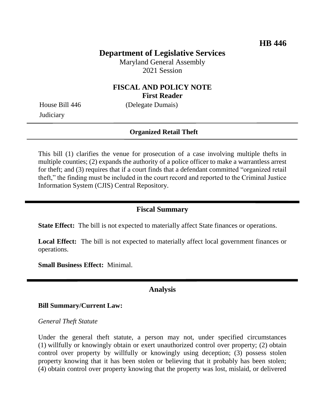# **Department of Legislative Services**

Maryland General Assembly 2021 Session

## **FISCAL AND POLICY NOTE First Reader**

**Judiciary** 

House Bill 446 (Delegate Dumais)

### **Organized Retail Theft**

This bill (1) clarifies the venue for prosecution of a case involving multiple thefts in multiple counties; (2) expands the authority of a police officer to make a warrantless arrest for theft; and (3) requires that if a court finds that a defendant committed "organized retail theft," the finding must be included in the court record and reported to the Criminal Justice Information System (CJIS) Central Repository.

### **Fiscal Summary**

**State Effect:** The bill is not expected to materially affect State finances or operations.

**Local Effect:** The bill is not expected to materially affect local government finances or operations.

**Small Business Effect:** Minimal.

## **Analysis**

#### **Bill Summary/Current Law:**

#### *General Theft Statute*

Under the general theft statute, a person may not, under specified circumstances (1) willfully or knowingly obtain or exert unauthorized control over property; (2) obtain control over property by willfully or knowingly using deception; (3) possess stolen property knowing that it has been stolen or believing that it probably has been stolen; (4) obtain control over property knowing that the property was lost, mislaid, or delivered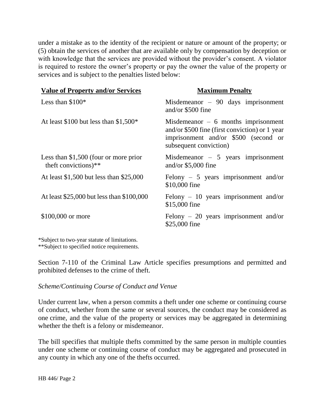under a mistake as to the identity of the recipient or nature or amount of the property; or (5) obtain the services of another that are available only by compensation by deception or with knowledge that the services are provided without the provider's consent. A violator is required to restore the owner's property or pay the owner the value of the property or services and is subject to the penalties listed below:

| <b>Value of Property and/or Services</b>                       | <b>Maximum Penalty</b>                                                                                                                                   |
|----------------------------------------------------------------|----------------------------------------------------------------------------------------------------------------------------------------------------------|
| Less than $$100*$                                              | Misdemeanor $-90$ days imprisonment<br>and/or $$500$ fine                                                                                                |
| At least \$100 but less than $$1,500*$                         | Misdemeanor $-6$ months imprisonment<br>and/or \$500 fine (first conviction) or 1 year<br>imprisonment and/or \$500 (second or<br>subsequent conviction) |
| Less than $$1,500$ (four or more prior<br>theft convictions)** | Misdemeanor $-5$ years imprisonment<br>and/or $$5,000$ fine                                                                                              |
| At least $$1,500$ but less than $$25,000$                      | Felony $-5$ years imprisonment and/or<br>\$10,000 fine                                                                                                   |
| At least \$25,000 but less than \$100,000                      | Felony $-10$ years imprisonment and/or<br>\$15,000 fine                                                                                                  |
| \$100,000 or more                                              | Felony $-20$ years imprisonment and/or<br>\$25,000 fine                                                                                                  |

\*Subject to two-year statute of limitations. \*\*Subject to specified notice requirements.

Section 7-110 of the Criminal Law Article specifies presumptions and permitted and prohibited defenses to the crime of theft.

### *Scheme/Continuing Course of Conduct and Venue*

Under current law, when a person commits a theft under one scheme or continuing course of conduct, whether from the same or several sources, the conduct may be considered as one crime, and the value of the property or services may be aggregated in determining whether the theft is a felony or misdemeanor.

The bill specifies that multiple thefts committed by the same person in multiple counties under one scheme or continuing course of conduct may be aggregated and prosecuted in any county in which any one of the thefts occurred.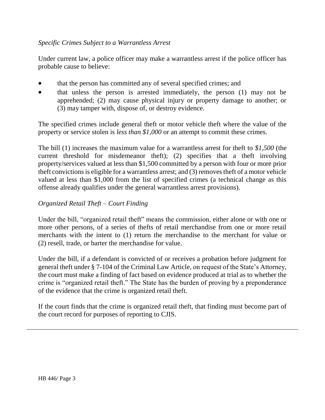## *Specific Crimes Subject to a Warrantless Arrest*

Under current law, a police officer may make a warrantless arrest if the police officer has probable cause to believe:

- that the person has committed any of several specified crimes; and
- that unless the person is arrested immediately, the person (1) may not be apprehended; (2) may cause physical injury or property damage to another; or (3) may tamper with, dispose of, or destroy evidence.

The specified crimes include general theft or motor vehicle theft where the value of the property or service stolen is *less than \$1,000* or an attempt to commit these crimes.

The bill (1) increases the maximum value for a warrantless arrest for theft to *\$1,500* (the current threshold for misdemeanor theft); (2) specifies that a theft involving property/services valued at less than \$1,500 committed by a person with four or more prior theft convictions is eligible for a warrantless arrest; and (3) removes theft of a motor vehicle valued at less than \$1,000 from the list of specified crimes (a technical change as this offense already qualifies under the general warrantless arrest provisions).

## *Organized Retail Theft – Court Finding*

Under the bill, "organized retail theft" means the commission, either alone or with one or more other persons, of a series of thefts of retail merchandise from one or more retail merchants with the intent to (1) return the merchandise to the merchant for value or (2) resell, trade, or barter the merchandise for value.

Under the bill, if a defendant is convicted of or receives a probation before judgment for general theft under § 7-104 of the Criminal Law Article, on request of the State's Attorney, the court must make a finding of fact based on evidence produced at trial as to whether the crime is "organized retail theft." The State has the burden of proving by a preponderance of the evidence that the crime is organized retail theft.

If the court finds that the crime is organized retail theft, that finding must become part of the court record for purposes of reporting to CJIS.